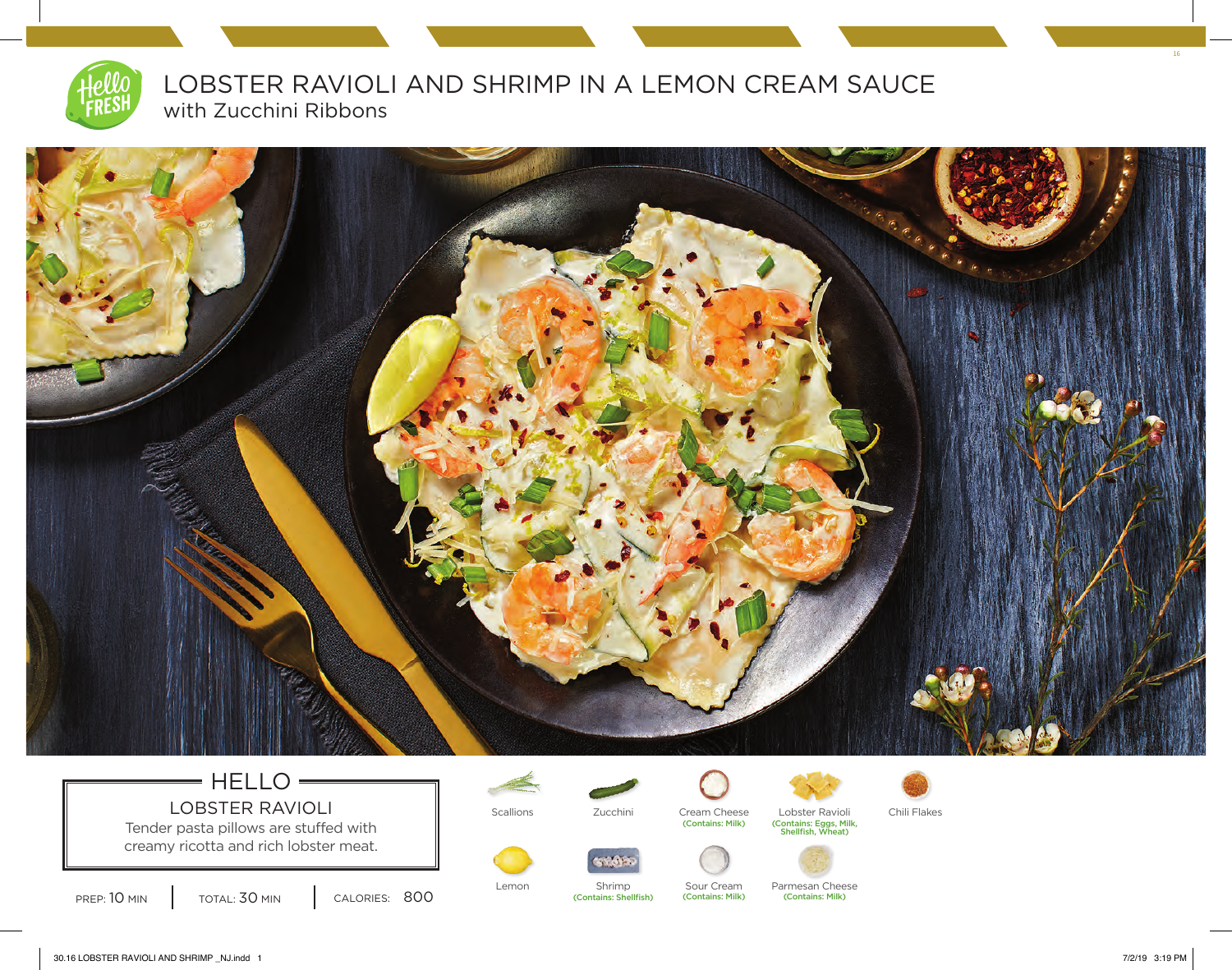

LOBSTER RAVIOLI AND SHRIMP IN A LEMON CREAM SAUCE with Zucchini Ribbons



## $=$  HELLO  $=$ LOBSTER RAVIOLI Scallions Tucchini Cream Cheese Lobster Ravioli Chili Flakes<br>
Tucchini Contains: Milk) (Contains: Milk) (Contains: Milk) (Contains: Milk) (Contains: Siggs, Milk, Shellfish

Tender pasta pillows are stuffed with creamy ricotta and rich lobster meat.





(Contains: Shellfish)





Lemon Shrimp Sour Cream Parmesan Cheese<br>
(Contains: Shellfish) (Contains: Milk) (Contains: Milk) (Contains: Milk) (Contains: Milk)

16